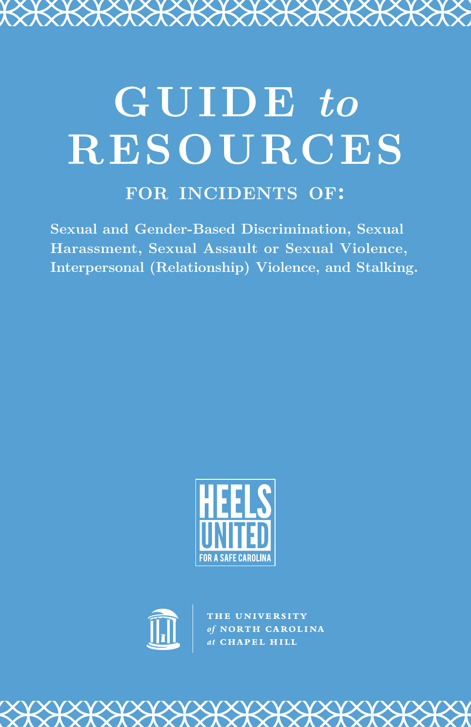# **GUIDE** *to* **RESOURCES**

<del>KXXXXXXXXX</del>

# **for incidents of:**

**Sexual and Gender-Based Discrimination, Sexual Harassment, Sexual Assault or Sexual Violence, Interpersonal (Relationship) Violence, and Stalking.**





THE UNIVERSITY<br>of NORTH CAROLINA<br>at CHAPEL HILL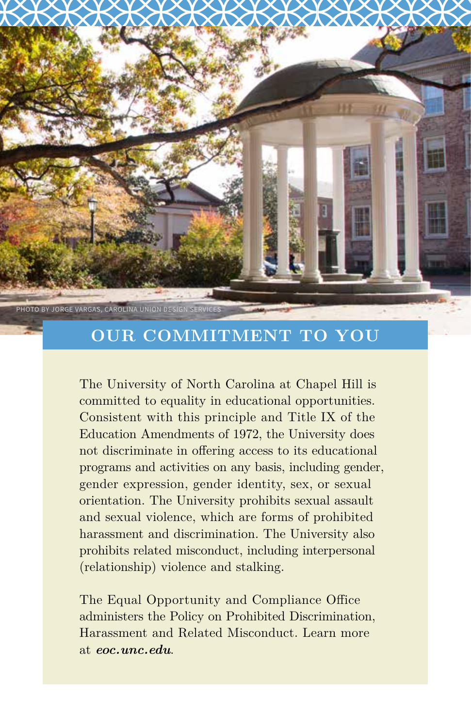

## **OUR COMMITMENT TO YOU**

The University of North Carolina at Chapel Hill is committed to equality in educational opportunities. Consistent with this principle and Title IX of the Education Amendments of 1972, the University does not discriminate in offering access to its educational programs and activities on any basis, including gender, gender expression, gender identity, sex, or sexual orientation. The University prohibits sexual assault and sexual violence, which are forms of prohibited harassment and discrimination. The University also prohibits related misconduct, including interpersonal (relationship) violence and stalking.

The Equal Opportunity and Compliance Office administers the Policy on Prohibited Discrimination, Harassment and Related Misconduct. Learn more at *eoc.unc.edu*.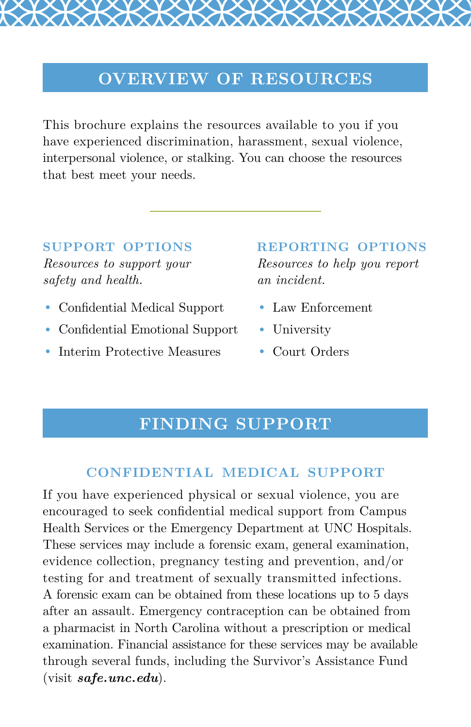## **OVERVIEW OF RESOURCES**

This brochure explains the resources available to you if you have experienced discrimination, harassment, sexual violence, interpersonal violence, or stalking. You can choose the resources that best meet your needs.

#### **support options**

*Resources to support your safety and health.*

- Confidential Medical Support
- Confidential Emotional Support
- Interim Protective Measures

#### **reporting options**

*Resources to help you report an incident.* 

- Law Enforcement
- University
- Court Orders

## **FINDING SUPPORT**

#### **confidential medical support**

If you have experienced physical or sexual violence, you are encouraged to seek confidential medical support from Campus Health Services or the Emergency Department at UNC Hospitals. These services may include a forensic exam, general examination, evidence collection, pregnancy testing and prevention, and/or testing for and treatment of sexually transmitted infections. A forensic exam can be obtained from these locations up to 5 days after an assault. Emergency contraception can be obtained from a pharmacist in North Carolina without a prescription or medical examination. Financial assistance for these services may be available through several funds, including the Survivor's Assistance Fund (visit *safe.unc.edu*).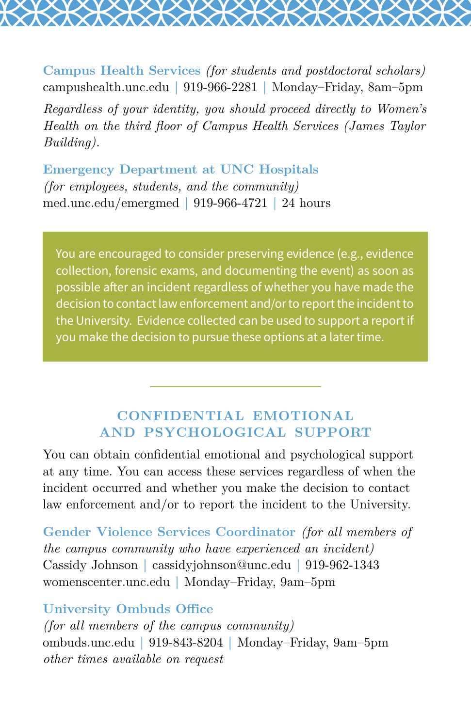**Campus Health Services** *(for students and postdoctoral scholars)* campushealth.unc.edu **|** 919-966-2281 **|** Monday–Friday, 8am–5pm

*Regardless of your identity, you should proceed directly to Women's Health on the third floor of Campus Health Services (James Taylor Building).*

**Emergency Department at UNC Hospitals** *(for employees, students, and the community)* med.unc.edu/emergmed **|** 919-966-4721 **|** 24 hours

You are encouraged to consider preserving evidence (e.g., evidence collection, forensic exams, and documenting the event) as soon as possible after an incident regardless of whether you have made the decision to contact law enforcement and/or to report the incident to the University. Evidence collected can be used to support a report if you make the decision to pursue these options at a later time.

#### **confidential emotional and psychological support**

You can obtain confidential emotional and psychological support at any time. You can access these services regardless of when the incident occurred and whether you make the decision to contact law enforcement and/or to report the incident to the University.

**Gender Violence Services Coordinator** *(for all members of the campus community who have experienced an incident)* Cassidy Johnson **|** cassidyjohnson@unc.edu **|** 919-962-1343 womenscenter.unc.edu **|** Monday–Friday, 9am–5pm

#### **University Ombuds Office**

*(for all members of the campus community)* ombuds.unc.edu **|** 919-843-8204 **|** Monday–Friday, 9am–5pm *other times available on request*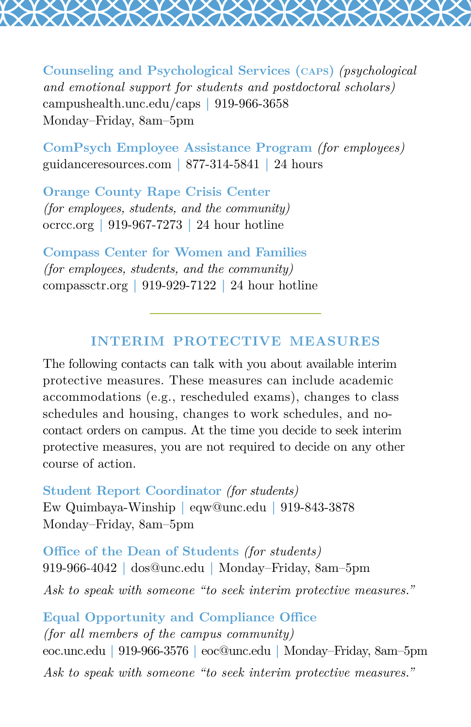**Counseling and Psychological Services (caps)** *(psychological and emotional support for students and postdoctoral scholars)* campushealth.unc.edu/caps **|** 919-966-3658 Monday–Friday, 8am–5pm

**ComPsych Employee Assistance Program** *(for employees)* guidanceresources.com **|** 877-314-5841 **|** 24 hours

**Orange County Rape Crisis Center** *(for employees, students, and the community)* ocrcc.org **|** 919-967-7273 **|** 24 hour hotline

**Compass Center for Women and Families** *(for employees, students, and the community)* compassctr.org **|** 919-929-7122 **|** 24 hour hotline

#### **interim protective measures**

The following contacts can talk with you about available interim protective measures. These measures can include academic accommodations (e.g., rescheduled exams), changes to class schedules and housing, changes to work schedules, and nocontact orders on campus. At the time you decide to seek interim protective measures, you are not required to decide on any other course of action.

**Student Report Coordinator** *(for students)* Ew Quimbaya-Winship **|** eqw@unc.edu **|** 919-843-3878 Monday–Friday, 8am–5pm

**Office of the Dean of Students** *(for students)* 919-966-4042 **|** dos@unc.edu **|** Monday–Friday, 8am–5pm *Ask to speak with someone "to seek interim protective measures."* 

**Equal Opportunity and Compliance Office** *(for all members of the campus community)* eoc.unc.edu **|** 919-966-3576 **|** eoc@unc.edu **|** Monday–Friday, 8am–5pm *Ask to speak with someone "to seek interim protective measures."*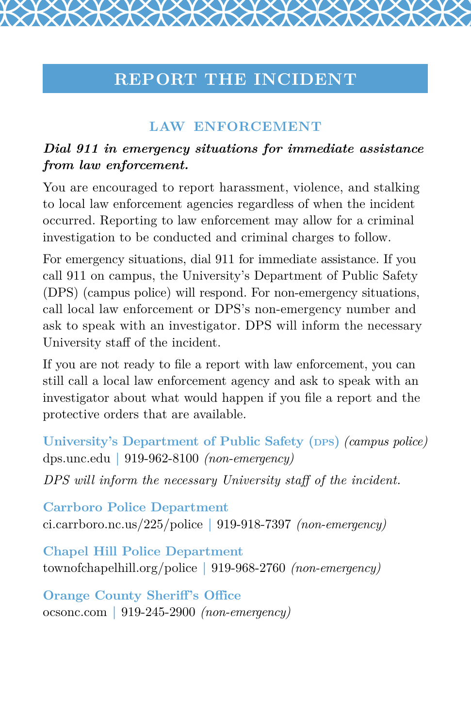## **REPORT THE INCIDENT**

## **law enforcement**

#### *Dial 911 in emergency situations for immediate assistance from law enforcement.*

You are encouraged to report harassment, violence, and stalking to local law enforcement agencies regardless of when the incident occurred. Reporting to law enforcement may allow for a criminal investigation to be conducted and criminal charges to follow.

For emergency situations, dial 911 for immediate assistance. If you call 911 on campus, the University's Department of Public Safety (DPS) (campus police) will respond. For non-emergency situations, call local law enforcement or DPS's non-emergency number and ask to speak with an investigator. DPS will inform the necessary University staff of the incident.

If you are not ready to file a report with law enforcement, you can still call a local law enforcement agency and ask to speak with an investigator about what would happen if you file a report and the protective orders that are available.

**University's Department of Public Safety (DPS)** *(campus police)* dps.unc.edu **|** 919-962-8100 *(non-emergency)*

*DPS will inform the necessary University staff of the incident.*

**Carrboro Police Department** ci.carrboro.nc.us/225/police **|** 919-918-7397 *(non-emergency)*

**Chapel Hill Police Department** townofchapelhill.org/police **|** 919-968-2760 *(non-emergency)*

**Orange County Sheriff's Office** ocsonc.com **|** 919-245-2900 *(non-emergency)*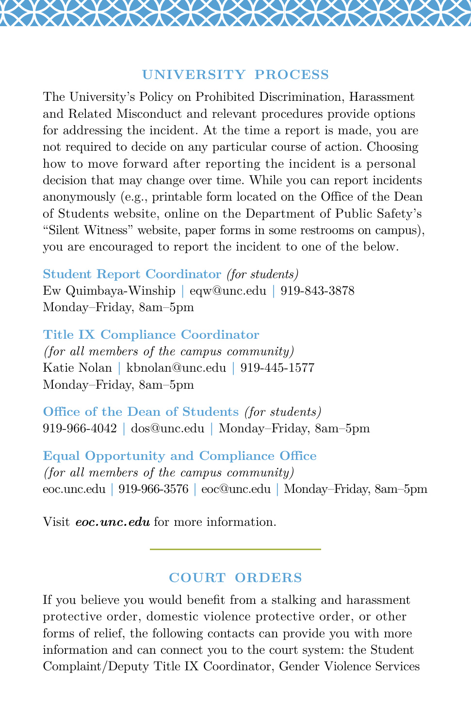#### **university process**

The University's Policy on Prohibited Discrimination, Harassment and Related Misconduct and relevant procedures provide options for addressing the incident. At the time a report is made, you are not required to decide on any particular course of action. Choosing how to move forward after reporting the incident is a personal decision that may change over time. While you can report incidents anonymously (e.g., printable form located on the Office of the Dean of Students website, online on the Department of Public Safety's "Silent Witness" website, paper forms in some restrooms on campus), you are encouraged to report the incident to one of the below.

**Student Report Coordinator** *(for students)*

Ew Quimbaya-Winship **|** eqw@unc.edu **|** 919-843-3878 Monday–Friday, 8am–5pm

**Title IX Compliance Coordinator** *(for all members of the campus community)* Katie Nolan **|** kbnolan@unc.edu **|** 919-445-1577 Monday–Friday, 8am–5pm

**Office of the Dean of Students** *(for students)* 919-966-4042 **|** dos@unc.edu **|** Monday–Friday, 8am–5pm

**Equal Opportunity and Compliance Office** *(for all members of the campus community)* eoc.unc.edu **|** 919-966-3576 **|** eoc@unc.edu **|** Monday–Friday, 8am–5pm

Visit *eoc.unc.edu* for more information.

#### **court orders**

If you believe you would benefit from a stalking and harassment protective order, domestic violence protective order, or other forms of relief, the following contacts can provide you with more information and can connect you to the court system: the Student Complaint/Deputy Title IX Coordinator, Gender Violence Services